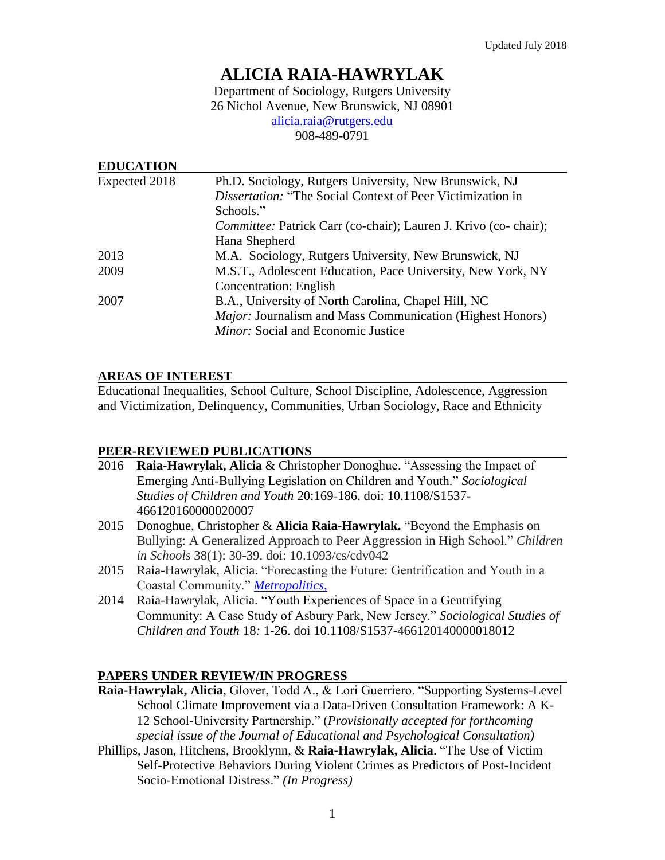# **ALICIA RAIA-HAWRYLAK**

Department of Sociology, Rutgers University 26 Nichol Avenue, New Brunswick, NJ 08901 [alicia.raia@rutgers.edu](mailto:alicia.raia@rutgers.edu)

908-489-0791

| <b>EDUCATION</b> |                                                                   |
|------------------|-------------------------------------------------------------------|
| Expected 2018    | Ph.D. Sociology, Rutgers University, New Brunswick, NJ            |
|                  | <i>Dissertation:</i> "The Social Context of Peer Victimization in |
|                  | Schools."                                                         |
|                  | Committee: Patrick Carr (co-chair); Lauren J. Krivo (co-chair);   |
|                  | Hana Shepherd                                                     |
| 2013             | M.A. Sociology, Rutgers University, New Brunswick, NJ             |
| 2009             | M.S.T., Adolescent Education, Pace University, New York, NY       |
|                  | <b>Concentration: English</b>                                     |
| 2007             | B.A., University of North Carolina, Chapel Hill, NC               |
|                  | Major: Journalism and Mass Communication (Highest Honors)         |
|                  | <i>Minor:</i> Social and Economic Justice                         |

## **AREAS OF INTEREST**

Educational Inequalities, School Culture, School Discipline, Adolescence, Aggression and Victimization, Delinquency, Communities, Urban Sociology, Race and Ethnicity

# **PEER-REVIEWED PUBLICATIONS**

- 2016 **Raia-Hawrylak, Alicia** & Christopher Donoghue. "Assessing the Impact of Emerging Anti-Bullying Legislation on Children and Youth." *Sociological Studies of Children and Youth* 20:169-186. doi: 10.1108/S1537- 466120160000020007
- 2015 Donoghue, Christopher & **Alicia Raia-Hawrylak.** "Beyond the Emphasis on Bullying: A Generalized Approach to Peer Aggression in High School." *Children in Schools* 38(1): 30-39. doi: 10.1093/cs/cdv042
- 2015 Raia-Hawrylak, Alicia. "Forecasting the Future: Gentrification and Youth in a Coastal Community." *[Metropolitics,](https://www.metropolitiques.eu/The-Future-of-Asbury-Park.html)*
- 2014 Raia-Hawrylak, Alicia. "Youth Experiences of Space in a Gentrifying Community: A Case Study of Asbury Park, New Jersey." *Sociological Studies of Children and Youth* 18*:* 1-26. doi 10.1108/S1537-466120140000018012

# **PAPERS UNDER REVIEW/IN PROGRESS**

- **Raia-Hawrylak, Alicia**, Glover, Todd A., & Lori Guerriero. "Supporting Systems-Level School Climate Improvement via a Data-Driven Consultation Framework: A K-12 School-University Partnership." (*Provisionally accepted for forthcoming special issue of the Journal of Educational and Psychological Consultation)*
- Phillips, Jason, Hitchens, Brooklynn, & **Raia-Hawrylak, Alicia**. "The Use of Victim Self-Protective Behaviors During Violent Crimes as Predictors of Post-Incident Socio-Emotional Distress." *(In Progress)*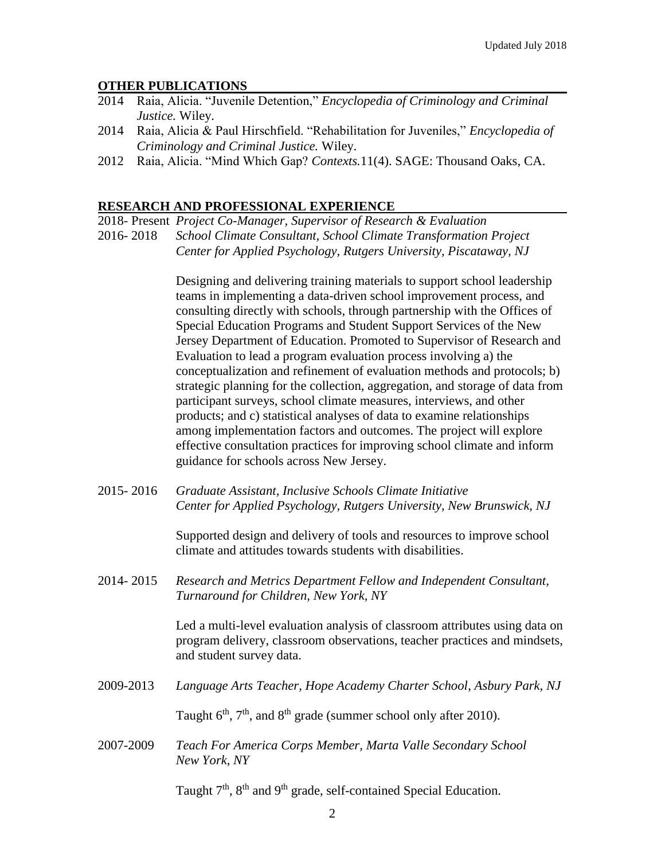#### **OTHER PUBLICATIONS**

- 2014 Raia, Alicia. "Juvenile Detention," *Encyclopedia of Criminology and Criminal Justice.* Wiley.
- 2014 Raia, Alicia & Paul Hirschfield. "Rehabilitation for Juveniles," *Encyclopedia of Criminology and Criminal Justice.* Wiley.
- 2012 Raia, Alicia. "Mind Which Gap? *Contexts.*11(4). SAGE: Thousand Oaks, CA.

#### **RESEARCH AND PROFESSIONAL EXPERIENCE**

2018- Present *Project Co-Manager, Supervisor of Research & Evaluation*

2016- 2018 *School Climate Consultant, School Climate Transformation Project Center for Applied Psychology, Rutgers University, Piscataway, NJ*

> Designing and delivering training materials to support school leadership teams in implementing a data-driven school improvement process, and consulting directly with schools, through partnership with the Offices of Special Education Programs and Student Support Services of the New Jersey Department of Education. Promoted to Supervisor of Research and Evaluation to lead a program evaluation process involving a) the conceptualization and refinement of evaluation methods and protocols; b) strategic planning for the collection, aggregation, and storage of data from participant surveys, school climate measures, interviews, and other products; and c) statistical analyses of data to examine relationships among implementation factors and outcomes. The project will explore effective consultation practices for improving school climate and inform guidance for schools across New Jersey.

2015- 2016 *Graduate Assistant, Inclusive Schools Climate Initiative Center for Applied Psychology, Rutgers University, New Brunswick, NJ*

> Supported design and delivery of tools and resources to improve school climate and attitudes towards students with disabilities.

2014- 2015 *Research and Metrics Department Fellow and Independent Consultant, Turnaround for Children, New York, NY*

> Led a multi-level evaluation analysis of classroom attributes using data on program delivery, classroom observations, teacher practices and mindsets, and student survey data.

2009-2013 *Language Arts Teacher, Hope Academy Charter School*, *Asbury Park, NJ*

Taught  $6<sup>th</sup>$ ,  $7<sup>th</sup>$ , and  $8<sup>th</sup>$  grade (summer school only after 2010).

2007-2009 *Teach For America Corps Member, Marta Valle Secondary School New York, NY*

Taught  $7<sup>th</sup>$ ,  $8<sup>th</sup>$  and  $9<sup>th</sup>$  grade, self-contained Special Education.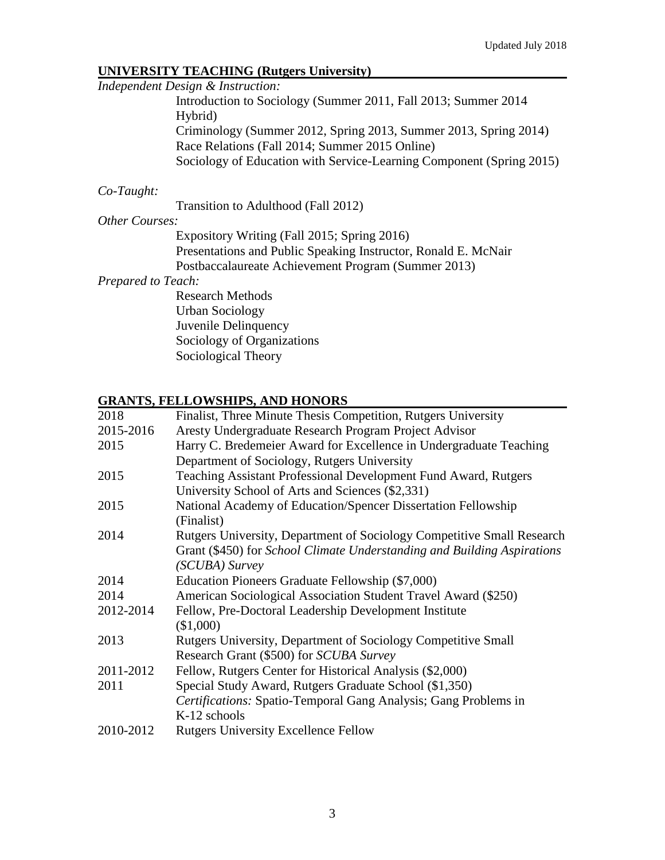## **UNIVERSITY TEACHING (Rutgers University)**

*Independent Design & Instruction:*

Introduction to Sociology (Summer 2011, Fall 2013; Summer 2014 Hybrid) Criminology (Summer 2012, Spring 2013, Summer 2013, Spring 2014) Race Relations (Fall 2014; Summer 2015 Online) Sociology of Education with Service-Learning Component (Spring 2015)

### *Co-Taught:*

Transition to Adulthood (Fall 2012)

### *Other Courses:*

Expository Writing (Fall 2015; Spring 2016) Presentations and Public Speaking Instructor, Ronald E. McNair Postbaccalaureate Achievement Program (Summer 2013)

#### *Prepared to Teach:*

Research Methods Urban Sociology Juvenile Delinquency Sociology of Organizations Sociological Theory

## **GRANTS, FELLOWSHIPS, AND HONORS**

| 2018      | Finalist, Three Minute Thesis Competition, Rutgers University           |
|-----------|-------------------------------------------------------------------------|
| 2015-2016 | Aresty Undergraduate Research Program Project Advisor                   |
| 2015      | Harry C. Bredemeier Award for Excellence in Undergraduate Teaching      |
|           | Department of Sociology, Rutgers University                             |
| 2015      | Teaching Assistant Professional Development Fund Award, Rutgers         |
|           | University School of Arts and Sciences (\$2,331)                        |
| 2015      | National Academy of Education/Spencer Dissertation Fellowship           |
|           | (Finalist)                                                              |
| 2014      | Rutgers University, Department of Sociology Competitive Small Research  |
|           | Grant (\$450) for School Climate Understanding and Building Aspirations |
|           | (SCUBA) Survey                                                          |
| 2014      | Education Pioneers Graduate Fellowship (\$7,000)                        |
| 2014      | American Sociological Association Student Travel Award (\$250)          |
| 2012-2014 | Fellow, Pre-Doctoral Leadership Development Institute                   |
|           | (\$1,000)                                                               |
| 2013      | <b>Rutgers University, Department of Sociology Competitive Small</b>    |
|           | Research Grant (\$500) for SCUBA Survey                                 |
| 2011-2012 | Fellow, Rutgers Center for Historical Analysis (\$2,000)                |
| 2011      | Special Study Award, Rutgers Graduate School (\$1,350)                  |
|           | Certifications: Spatio-Temporal Gang Analysis; Gang Problems in         |
|           | K-12 schools                                                            |
| 2010-2012 | <b>Rutgers University Excellence Fellow</b>                             |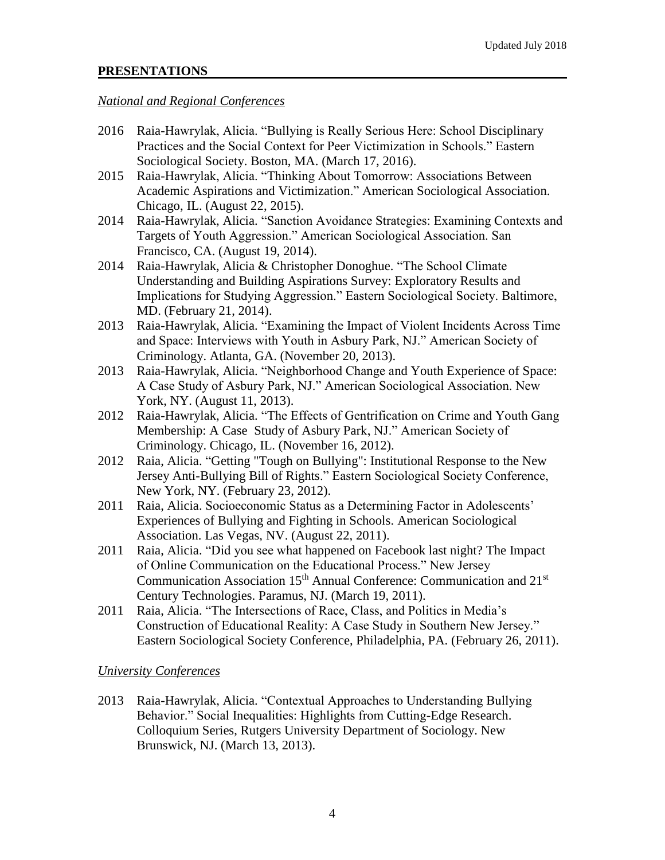# **PRESENTATIONS**

## *National and Regional Conferences*

- 2016 Raia-Hawrylak, Alicia. "Bullying is Really Serious Here: School Disciplinary Practices and the Social Context for Peer Victimization in Schools." Eastern Sociological Society. Boston, MA. (March 17, 2016).
- 2015 Raia-Hawrylak, Alicia. "Thinking About Tomorrow: Associations Between Academic Aspirations and Victimization." American Sociological Association. Chicago, IL. (August 22, 2015).
- 2014 Raia-Hawrylak, Alicia. "Sanction Avoidance Strategies: Examining Contexts and Targets of Youth Aggression." American Sociological Association. San Francisco, CA. (August 19, 2014).
- 2014 Raia-Hawrylak, Alicia & Christopher Donoghue. "The School Climate Understanding and Building Aspirations Survey: Exploratory Results and Implications for Studying Aggression." Eastern Sociological Society. Baltimore, MD. (February 21, 2014).
- 2013 Raia-Hawrylak, Alicia. "Examining the Impact of Violent Incidents Across Time and Space: Interviews with Youth in Asbury Park, NJ." American Society of Criminology. Atlanta, GA. (November 20, 2013).
- 2013 Raia-Hawrylak, Alicia. "Neighborhood Change and Youth Experience of Space: A Case Study of Asbury Park, NJ." American Sociological Association. New York, NY. (August 11, 2013).
- 2012 Raia-Hawrylak, Alicia. "The Effects of Gentrification on Crime and Youth Gang Membership: A Case Study of Asbury Park, NJ." American Society of Criminology. Chicago, IL. (November 16, 2012).
- 2012 Raia, Alicia. "Getting "Tough on Bullying": Institutional Response to the New Jersey Anti-Bullying Bill of Rights." Eastern Sociological Society Conference, New York, NY. (February 23, 2012).
- 2011 Raia, Alicia. Socioeconomic Status as a Determining Factor in Adolescents' Experiences of Bullying and Fighting in Schools. American Sociological Association. Las Vegas, NV. (August 22, 2011).
- 2011 Raia, Alicia. "Did you see what happened on Facebook last night? The Impact of Online Communication on the Educational Process." New Jersey Communication Association 15<sup>th</sup> Annual Conference: Communication and 21<sup>st</sup> Century Technologies. Paramus, NJ. (March 19, 2011).
- 2011 Raia, Alicia. "The Intersections of Race, Class, and Politics in Media's Construction of Educational Reality: A Case Study in Southern New Jersey." Eastern Sociological Society Conference, Philadelphia, PA. (February 26, 2011).

# *University Conferences*

2013 Raia-Hawrylak, Alicia. "Contextual Approaches to Understanding Bullying Behavior." Social Inequalities: Highlights from Cutting-Edge Research. Colloquium Series, Rutgers University Department of Sociology. New Brunswick, NJ. (March 13, 2013).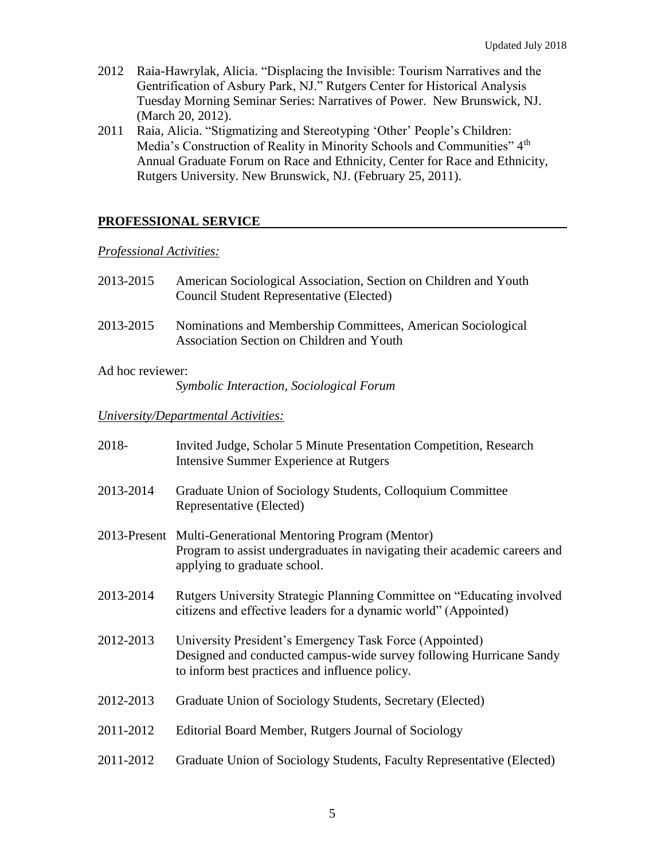- 2012 Raia-Hawrylak, Alicia. "Displacing the Invisible: Tourism Narratives and the Gentrification of Asbury Park, NJ." Rutgers Center for Historical Analysis Tuesday Morning Seminar Series: Narratives of Power. New Brunswick, NJ. (March 20, 2012).
- 2011 Raia, Alicia. "Stigmatizing and Stereotyping 'Other' People's Children: Media's Construction of Reality in Minority Schools and Communities" 4<sup>th</sup> Annual Graduate Forum on Race and Ethnicity, Center for Race and Ethnicity, Rutgers University. New Brunswick, NJ. (February 25, 2011).

## **PROFESSIONAL SERVICE**

#### *Professional Activities:*

| American Sociological Association, Section on Children and Youth<br><b>Council Student Representative (Elected)</b>                                                              |
|----------------------------------------------------------------------------------------------------------------------------------------------------------------------------------|
| Nominations and Membership Committees, American Sociological<br>Association Section on Children and Youth                                                                        |
| Ad hoc reviewer:<br>Symbolic Interaction, Sociological Forum                                                                                                                     |
| University/Departmental Activities:                                                                                                                                              |
| Invited Judge, Scholar 5 Minute Presentation Competition, Research<br>Intensive Summer Experience at Rutgers                                                                     |
| Graduate Union of Sociology Students, Colloquium Committee<br>Representative (Elected)                                                                                           |
| 2013-Present Multi-Generational Mentoring Program (Mentor)<br>Program to assist undergraduates in navigating their academic careers and<br>applying to graduate school.          |
| Rutgers University Strategic Planning Committee on "Educating involved<br>citizens and effective leaders for a dynamic world" (Appointed)                                        |
| University President's Emergency Task Force (Appointed)<br>Designed and conducted campus-wide survey following Hurricane Sandy<br>to inform best practices and influence policy. |
| Graduate Union of Sociology Students, Secretary (Elected)                                                                                                                        |
| Editorial Board Member, Rutgers Journal of Sociology                                                                                                                             |
| Graduate Union of Sociology Students, Faculty Representative (Elected)                                                                                                           |
|                                                                                                                                                                                  |